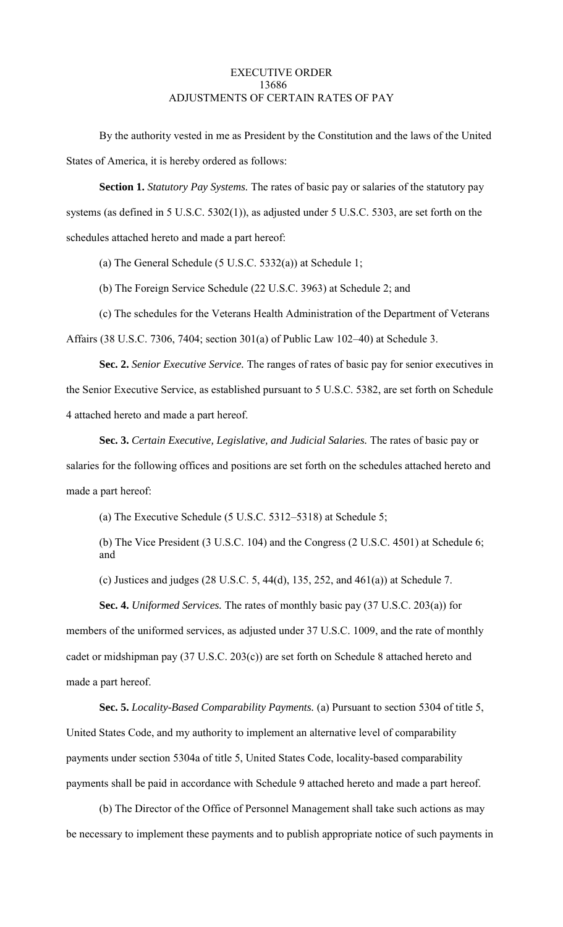# EXECUTIVE ORDER 13686 ADJUSTMENTS OF CERTAIN RATES OF PAY

By the authority vested in me as President by the Constitution and the laws of the United States of America, it is hereby ordered as follows:

**Section 1.** *Statutory Pay Systems.* The rates of basic pay or salaries of the statutory pay systems (as defined in 5 U.S.C. 5302(1)), as adjusted under 5 U.S.C. 5303, are set forth on the schedules attached hereto and made a part hereof:

(a) The General Schedule (5 U.S.C. 5332(a)) at Schedule 1;

(b) The Foreign Service Schedule (22 U.S.C. 3963) at Schedule 2; and

(c) The schedules for the Veterans Health Administration of the Department of Veterans

Affairs (38 U.S.C. 7306, 7404; section 301(a) of Public Law 102–40) at Schedule 3.

**Sec. 2.** *Senior Executive Service.* The ranges of rates of basic pay for senior executives in the Senior Executive Service, as established pursuant to 5 U.S.C. 5382, are set forth on Schedule 4 attached hereto and made a part hereof.

**Sec. 3.** *Certain Executive, Legislative, and Judicial Salaries.* The rates of basic pay or salaries for the following offices and positions are set forth on the schedules attached hereto and made a part hereof:

(a) The Executive Schedule (5 U.S.C. 5312–5318) at Schedule 5;

(b) The Vice President (3 U.S.C. 104) and the Congress (2 U.S.C. 4501) at Schedule 6; and

(c) Justices and judges (28 U.S.C. 5, 44(d), 135, 252, and 461(a)) at Schedule 7.

**Sec. 4.** *Uniformed Services.* The rates of monthly basic pay (37 U.S.C. 203(a)) for members of the uniformed services, as adjusted under 37 U.S.C. 1009, and the rate of monthly cadet or midshipman pay (37 U.S.C. 203(c)) are set forth on Schedule 8 attached hereto and made a part hereof.

**Sec. 5.** *Locality-Based Comparability Payments.* (a) Pursuant to section 5304 of title 5, United States Code, and my authority to implement an alternative level of comparability payments under section 5304a of title 5, United States Code, locality-based comparability payments shall be paid in accordance with Schedule 9 attached hereto and made a part hereof.

(b) The Director of the Office of Personnel Management shall take such actions as may be necessary to implement these payments and to publish appropriate notice of such payments in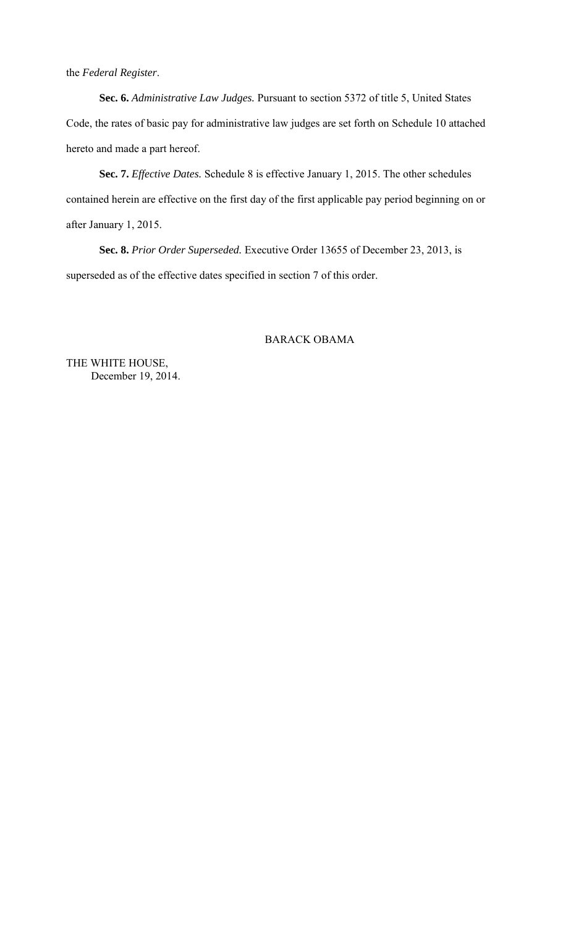the *Federal Register*.

**Sec. 6.** *Administrative Law Judges.* Pursuant to section 5372 of title 5, United States Code, the rates of basic pay for administrative law judges are set forth on Schedule 10 attached hereto and made a part hereof.

**Sec. 7.** *Effective Dates.* Schedule 8 is effective January 1, 2015. The other schedules contained herein are effective on the first day of the first applicable pay period beginning on or after January 1, 2015.

**Sec. 8.** *Prior Order Superseded.* Executive Order 13655 of December 23, 2013, is superseded as of the effective dates specified in section 7 of this order.

# BARACK OBAMA

THE WHITE HOUSE, December 19, 2014.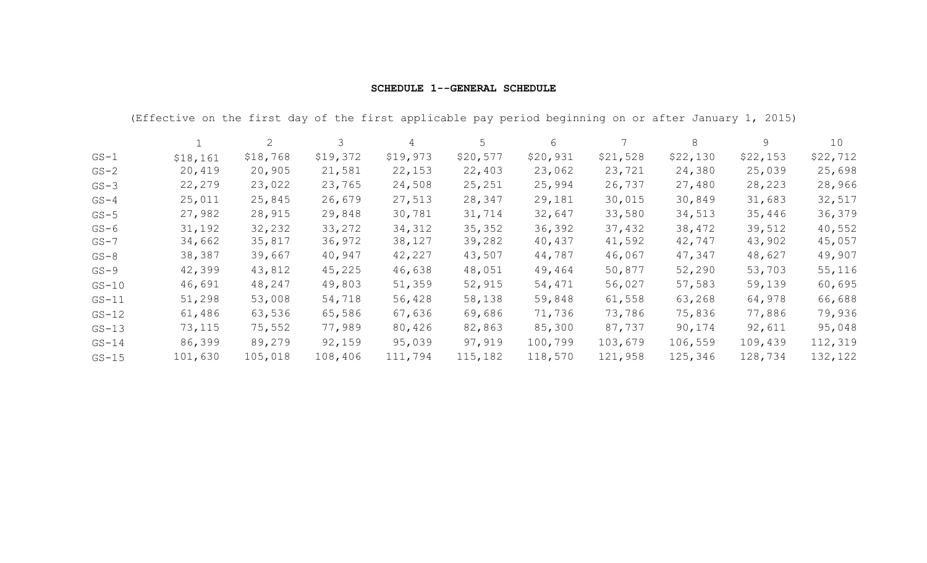| <b>SCHEDULE 1--GENERAL SCHEDULE</b> |  |
|-------------------------------------|--|
|-------------------------------------|--|

|          | (Effective on the first day of the first applicable pay period beginning on or after January 1, 2015) |          |          |          |          |          |          |          |          |          |
|----------|-------------------------------------------------------------------------------------------------------|----------|----------|----------|----------|----------|----------|----------|----------|----------|
|          |                                                                                                       | 2        | 3        | 4        | 5        | 6        |          | 8        | 9        | 10       |
| $GS-1$   | \$18,161                                                                                              | \$18,768 | \$19,372 | \$19,973 | \$20,577 | \$20,931 | \$21,528 | \$22,130 | \$22,153 | \$22,712 |
| $GS-2$   | 20,419                                                                                                | 20,905   | 21,581   | 22,153   | 22,403   | 23,062   | 23,721   | 24,380   | 25,039   | 25,698   |
| $GS-3$   | 22,279                                                                                                | 23,022   | 23,765   | 24,508   | 25, 251  | 25,994   | 26,737   | 27,480   | 28,223   | 28,966   |
| $GS-4$   | 25,011                                                                                                | 25,845   | 26,679   | 27,513   | 28,347   | 29,181   | 30,015   | 30,849   | 31,683   | 32,517   |
| $GS-5$   | 27,982                                                                                                | 28,915   | 29,848   | 30,781   | 31,714   | 32,647   | 33,580   | 34,513   | 35,446   | 36,379   |
| $GS-6$   | 31,192                                                                                                | 32,232   | 33,272   | 34,312   | 35, 352  | 36,392   | 37,432   | 38,472   | 39,512   | 40,552   |
| $GS - 7$ | 34,662                                                                                                | 35,817   | 36,972   | 38,127   | 39,282   | 40,437   | 41,592   | 42,747   | 43,902   | 45,057   |
| $GS-8$   | 38,387                                                                                                | 39,667   | 40,947   | 42,227   | 43,507   | 44,787   | 46,067   | 47,347   | 48,627   | 49,907   |
| $GS-9$   | 42,399                                                                                                | 43,812   | 45,225   | 46,638   | 48,051   | 49,464   | 50,877   | 52,290   | 53,703   | 55,116   |
| $GS-10$  | 46,691                                                                                                | 48,247   | 49,803   | 51,359   | 52,915   | 54,471   | 56,027   | 57,583   | 59,139   | 60,695   |
| $GS-11$  | 51,298                                                                                                | 53,008   | 54,718   | 56,428   | 58,138   | 59,848   | 61,558   | 63,268   | 64,978   | 66,688   |
| $GS-12$  | 61,486                                                                                                | 63,536   | 65,586   | 67,636   | 69,686   | 71,736   | 73,786   | 75,836   | 77,886   | 79,936   |
| $GS-13$  | 73,115                                                                                                | 75,552   | 77,989   | 80,426   | 82,863   | 85,300   | 87,737   | 90,174   | 92,611   | 95,048   |
| $GS-14$  | 86,399                                                                                                | 89,279   | 92,159   | 95,039   | 97,919   | 100,799  | 103,679  | 106,559  | 109,439  | 112,319  |
| $GS-15$  | 101,630                                                                                               | 105,018  | 108,406  | 111,794  | 115,182  | 118,570  | 121,958  | 125,346  | 128,734  | 132,122  |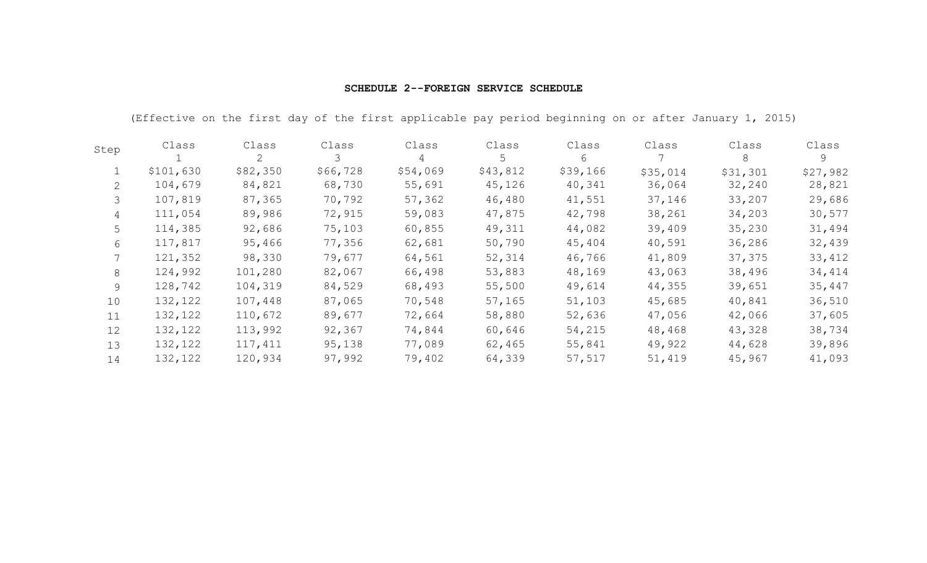| Step | Class     | Class<br>2 | Class    | Class<br>4 | Class<br>5 | Class<br>6 | Class    | Class<br>8 | Class<br>9 |
|------|-----------|------------|----------|------------|------------|------------|----------|------------|------------|
|      |           |            |          |            |            |            |          |            |            |
|      | \$101,630 | \$82,350   | \$66,728 | \$54,069   | \$43,812   | \$39,166   | \$35,014 | \$31,301   | \$27,982   |
| 2    | 104,679   | 84,821     | 68,730   | 55,691     | 45,126     | 40,341     | 36,064   | 32,240     | 28,821     |
| 3    | 107,819   | 87,365     | 70,792   | 57,362     | 46,480     | 41,551     | 37,146   | 33,207     | 29,686     |
| 4    | 111,054   | 89,986     | 72,915   | 59,083     | 47,875     | 42,798     | 38,261   | 34,203     | 30,577     |
| 5    | 114,385   | 92,686     | 75,103   | 60,855     | 49,311     | 44,082     | 39,409   | 35,230     | 31,494     |
| 6    | 117,817   | 95,466     | 77,356   | 62,681     | 50,790     | 45,404     | 40,591   | 36,286     | 32,439     |
|      | 121,352   | 98,330     | 79,677   | 64,561     | 52,314     | 46,766     | 41,809   | 37,375     | 33,412     |
| 8    | 124,992   | 101,280    | 82,067   | 66,498     | 53,883     | 48,169     | 43,063   | 38,496     | 34,414     |
| 9    | 128,742   | 104,319    | 84,529   | 68,493     | 55,500     | 49,614     | 44,355   | 39,651     | 35,447     |
| 10   | 132,122   | 107,448    | 87,065   | 70,548     | 57,165     | 51,103     | 45,685   | 40,841     | 36,510     |
| 11   | 132,122   | 110,672    | 89,677   | 72,664     | 58,880     | 52,636     | 47,056   | 42,066     | 37,605     |
| 12   | 132,122   | 113,992    | 92,367   | 74,844     | 60,646     | 54,215     | 48,468   | 43,328     | 38,734     |
| 13   | 132,122   | 117,411    | 95,138   | 77,089     | 62,465     | 55,841     | 49,922   | 44,628     | 39,896     |
| 14   | 132,122   | 120,934    | 97,992   | 79,402     | 64,339     | 57,517     | 51,419   | 45,967     | 41,093     |

## **SCHEDULE 2--FOREIGN SERVICE SCHEDULE**

(Effective on the first day of the first applicable pay period beginning on or after January 1, 2015)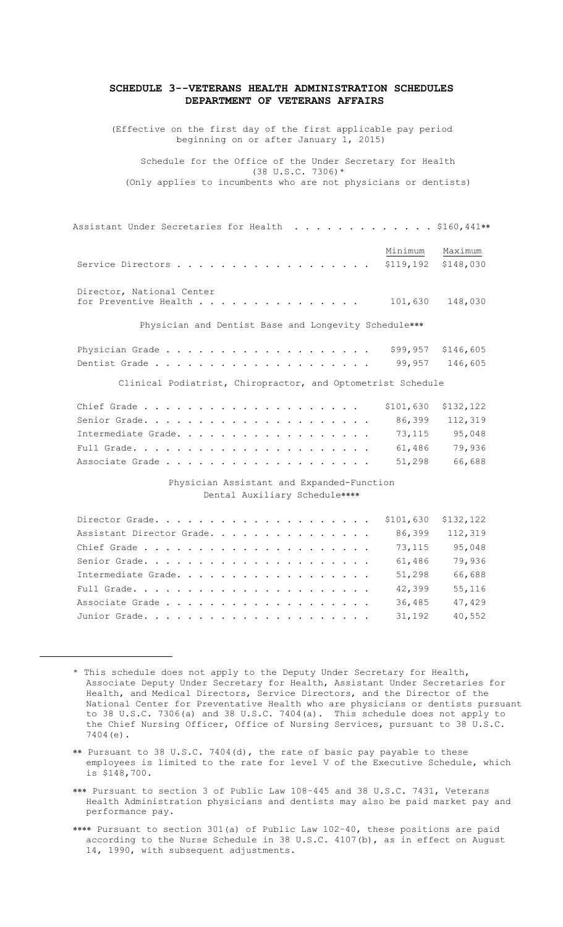### **SCHEDULE 3--VETERANS HEALTH ADMINISTRATION SCHEDULES DEPARTMENT OF VETERANS AFFAIRS**

(Effective on the first day of the first applicable pay period beginning on or after January 1, 2015)

Schedule for the Office of the Under Secretary for Health  $(38 \text{ U.S.C. } 7306)*$ (Only applies to incumbents who are not physicians or dentists)

| Assistant Under Secretaries for Health $\dots\dots\dots\dots\dots$ \$160,441** |         |                                  |
|--------------------------------------------------------------------------------|---------|----------------------------------|
| Service Directors                                                              | Minimum | Maximum<br>$$119,192$ $$148,030$ |
| Director, National Center<br>for Preventive Health                             | 101,630 | 148,030                          |
| Physician and Dentist Base and Longevity Schedule***                           |         |                                  |
|                                                                                |         | $$99,957$ $$146,605$             |

Dentist Grade . . . . . . . . . . . . . . . . . . . . 99,957 146,605

Clinical Podiatrist, Chiropractor, and Optometrist Schedule

| Intermediate Grade. 73, 115 $95,048$ |  |  |  |  |  |  |  |  |  |  |
|--------------------------------------|--|--|--|--|--|--|--|--|--|--|
|                                      |  |  |  |  |  |  |  |  |  |  |
| Associate Grade 51,298 66,688        |  |  |  |  |  |  |  |  |  |  |

## Physician Assistant and Expanded-Function Dental Auxiliary Schedule

| Assistant Director Grade. | 86,399 | 112,319 |
|---------------------------|--------|---------|
|                           | 73,115 | 95,048  |
|                           | 61,486 | 79,936  |
| Intermediate Grade.       | 51,298 | 66,688  |
|                           | 42,399 | 55,116  |
|                           | 36,485 | 47,429  |
|                           | 31,192 | 40,552  |

 $\overline{a}$ 

- \*\* Pursuant to 38 U.S.C. 7404(d), the rate of basic pay payable to these employees is limited to the rate for level V of the Executive Schedule, which is \$148,700.
- \*\*\* Pursuant to section 3 of Public Law 108-445 and 38 U.S.C. 7431, Veterans Health Administration physicians and dentists may also be paid market pay and performance pay.
- \*\*\*\* Pursuant to section 301(a) of Public Law 102-40, these positions are paid according to the Nurse Schedule in 38 U.S.C. 4107(b), as in effect on August 14, 1990, with subsequent adjustments.

<sup>\*</sup> This schedule does not apply to the Deputy Under Secretary for Health, Associate Deputy Under Secretary for Health, Assistant Under Secretaries for Health, and Medical Directors, Service Directors, and the Director of the National Center for Preventative Health who are physicians or dentists pursuant to 38 U.S.C. 7306(a) and 38 U.S.C. 7404(a). This schedule does not apply to the Chief Nursing Officer, Office of Nursing Services, pursuant to 38 U.S.C. 7404(e).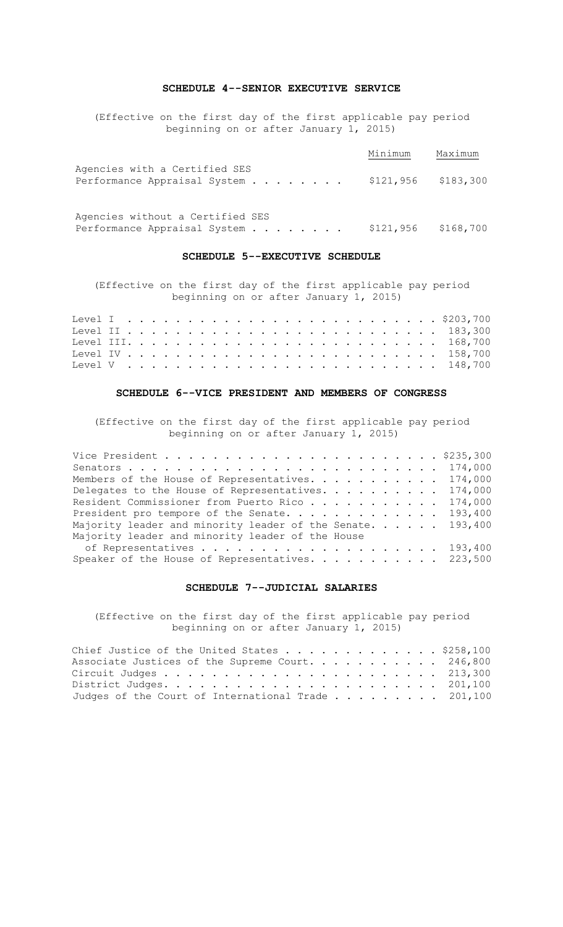## **SCHEDULE 4--SENIOR EXECUTIVE SERVICE**

(Effective on the first day of the first applicable pay period beginning on or after January 1, 2015)

|                                                           | Minimum | Maximum |
|-----------------------------------------------------------|---------|---------|
| Agencies with a Certified SES                             |         |         |
| Performance Appraisal System $\ldots$ \$121,956 \$183,300 |         |         |
|                                                           |         |         |

Agencies without a Certified SES Performance Appraisal System . . . . . . . . \$121,956 \$168,700

### **SCHEDULE 5--EXECUTIVE SCHEDULE**

(Effective on the first day of the first applicable pay period beginning on or after January 1, 2015)

## **SCHEDULE 6--VICE PRESIDENT AND MEMBERS OF CONGRESS**

(Effective on the first day of the first applicable pay period beginning on or after January 1, 2015)

| Members of the House of Representatives. 174,000           |  |
|------------------------------------------------------------|--|
| Delegates to the House of Representatives. 174,000         |  |
| Resident Commissioner from Puerto Rico 174,000             |  |
| President pro tempore of the Senate. 193,400               |  |
| Majority leader and minority leader of the Senate. 193,400 |  |
| Majority leader and minority leader of the House           |  |
|                                                            |  |
| Speaker of the House of Representatives. 223,500           |  |

## **SCHEDULE 7--JUDICIAL SALARIES**

(Effective on the first day of the first applicable pay period beginning on or after January 1, 2015)

| Chief Justice of the United States \$258,100       |  |
|----------------------------------------------------|--|
| Associate Justices of the Supreme Court. 246,800   |  |
|                                                    |  |
|                                                    |  |
| Judges of the Court of International Trade 201,100 |  |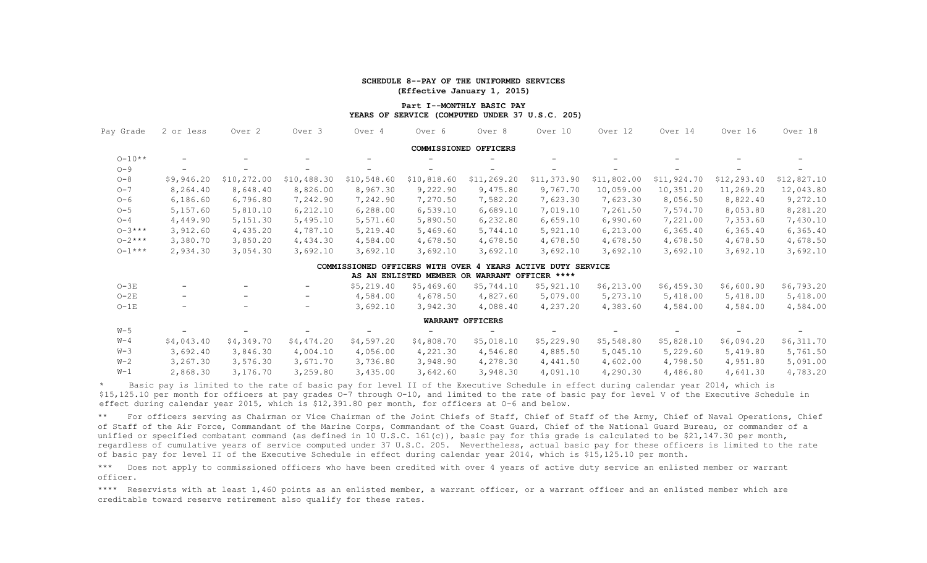### **SCHEDULE 8--PAY OF THE UNIFORMED SERVICES (Effective January 1, 2015)**

### **Part I--MONTHLY BASIC PAY YEARS OF SERVICE (COMPUTED UNDER 37 U.S.C. 205)**

| Pay Grade   | 2 or less                | Over 2                   | Over <sub>3</sub>        | Over 4                          | Over 6                                        | Over 8                  | Over 10                     | Over 12     | Over 14     | Over 16      | Over 18     |
|-------------|--------------------------|--------------------------|--------------------------|---------------------------------|-----------------------------------------------|-------------------------|-----------------------------|-------------|-------------|--------------|-------------|
|             |                          |                          |                          |                                 |                                               | COMMISSIONED OFFICERS   |                             |             |             |              |             |
| $0 - 10**$  |                          | $-$                      | -                        |                                 |                                               | -                       |                             |             |             |              |             |
| $O - 9$     |                          |                          |                          |                                 |                                               | $\qquad \qquad -$       |                             |             |             |              |             |
| $O - 8$     | \$9,946.20               | \$10,272.00              | \$10,488.30              | \$10,548.60                     | \$10,818.60                                   | \$11,269.20             | \$11,373.90                 | \$11,802.00 | \$11,924.70 | \$12, 293.40 | \$12,827.10 |
| $O - 7$     | 8,264.40                 | 8,648.40                 | 8,826.00                 | 8,967.30                        | 9,222.90                                      | 9,475.80                | 9,767.70                    | 10,059.00   | 10,351.20   | 11,269.20    | 12,043.80   |
| $O-6$       | 6,186.60                 | 6,796.80                 | 7,242.90                 | 7,242.90                        | 7,270.50                                      | 7,582.20                | 7,623.30                    | 7,623.30    | 8,056.50    | 8,822.40     | 9,272.10    |
| $O-5$       | 5,157.60                 | 5,810.10                 | 6,212.10                 | 6,288.00                        | 6,539.10                                      | 6,689.10                | 7,019.10                    | 7,261.50    | 7,574.70    | 8,053.80     | 8,281.20    |
| $O-4$       | 4,449.90                 | 5, 151.30                | 5,495.10                 | 5,571.60                        | 5,890.50                                      | 6,232.80                | 6,659.10                    | 6,990.60    | 7,221.00    | 7,353.60     | 7,430.10    |
| $0 - 3$ *** | 3,912.60                 | 4,435.20                 | 4,787.10                 | 5,219.40                        | 5,469.60                                      | 5,744.10                | 5,921.10                    | 6, 213.00   | 6,365.40    | 6, 365.40    | 6, 365.40   |
| $0 - 2$ *** | 3,380.70                 | 3,850.20                 | 4,434.30                 | 4,584.00                        | 4,678.50                                      | 4,678.50                | 4,678.50                    | 4,678.50    | 4,678.50    | 4,678.50     | 4,678.50    |
| $0 - 1***$  | 2,934.30                 | 3,054.30                 | 3,692.10                 | 3,692.10                        | 3,692.10                                      | 3,692.10                | 3,692.10                    | 3,692.10    | 3,692.10    | 3,692.10     | 3,692.10    |
|             |                          |                          |                          | COMMISSIONED OFFICERS WITH OVER |                                               |                         | 4 YEARS ACTIVE DUTY SERVICE |             |             |              |             |
|             |                          |                          |                          |                                 | AS AN ENLISTED MEMBER OR WARRANT OFFICER **** |                         |                             |             |             |              |             |
| $O-3E$      |                          |                          | $\qquad \qquad -$        | \$5,219.40                      | \$5,469.60                                    | \$5,744.10              | \$5,921.10                  | \$6, 213.00 | \$6,459.30  | \$6,600.90   | \$6,793.20  |
| $O-2E$      | $\overline{\phantom{a}}$ | $\overline{\phantom{0}}$ | $\overline{\phantom{a}}$ | 4,584.00                        | 4,678.50                                      | 4,827.60                | 5,079.00                    | 5,273.10    | 5,418.00    | 5,418.00     | 5,418.00    |
| $O-1E$      | $\overline{\phantom{m}}$ | $\overline{\phantom{0}}$ | $\overline{\phantom{a}}$ | 3,692.10                        | 3,942.30                                      | 4,088.40                | 4,237.20                    | 4,383.60    | 4,584.00    | 4,584.00     | 4,584.00    |
|             |                          |                          |                          |                                 |                                               | <b>WARRANT OFFICERS</b> |                             |             |             |              |             |
| $W-5$       |                          |                          |                          |                                 |                                               |                         |                             |             |             |              |             |
| $W - 4$     | \$4,043.40               | \$4,349.70               | \$4,474.20               | \$4,597.20                      | \$4,808.70                                    | \$5,018.10              | \$5,229.90                  | \$5,548.80  | \$5,828.10  | \$6,094.20   | \$6,311.70  |
| $W-3$       | 3,692.40                 | 3,846.30                 | 4,004.10                 | 4,056.00                        | 4,221.30                                      | 4,546.80                | 4,885.50                    | 5,045.10    | 5,229.60    | 5,419.80     | 5,761.50    |
| $W-2$       | 3,267.30                 | 3,576.30                 | 3,671.70                 | 3,736.80                        | 3,948.90                                      | 4,278.30                | 4,441.50                    | 4,602.00    | 4,798.50    | 4,951.80     | 5,091.00    |
| $W-1$       | 2,868.30                 | 3,176.70                 | 3,259.80                 | 3,435.00                        | 3,642.60                                      | 3,948.30                | 4,091.10                    | 4,290.30    | 4,486.80    | 4,641.30     | 4,783.20    |

Basic pay is limited to the rate of basic pay for level II of the Executive Schedule in effect during calendar year 2014, which is \$15,125.10 per month for officers at pay grades O-7 through O-10, and limited to the rate of basic pay for level V of the Executive Schedule in effect during calendar year 2015, which is \$12,391.80 per month, for officers at O-6 and below.

\*\* For officers serving as Chairman or Vice Chairman of the Joint Chiefs of Staff, Chief of Staff of the Army, Chief of Naval Operations, Chief of Staff of the Air Force, Commandant of the Marine Corps, Commandant of the Coast Guard, Chief of the National Guard Bureau, or commander of a unified or specified combatant command (as defined in 10 U.S.C. 161(c)), basic pay for this grade is calculated to be \$21,147.30 per month, regardless of cumulative years of service computed under 37 U.S.C. 205. Nevertheless, actual basic pay for these officers is limited to the rate of basic pay for level II of the Executive Schedule in effect during calendar year 2014, which is \$15,125.10 per month.

\*\*\* Does not apply to commissioned officers who have been credited with over 4 years of active duty service an enlisted member or warrant officer.

\*\*\*\* Reservists with at least 1,460 points as an enlisted member, a warrant officer, or a warrant officer and an enlisted member which are creditable toward reserve retirement also qualify for these rates.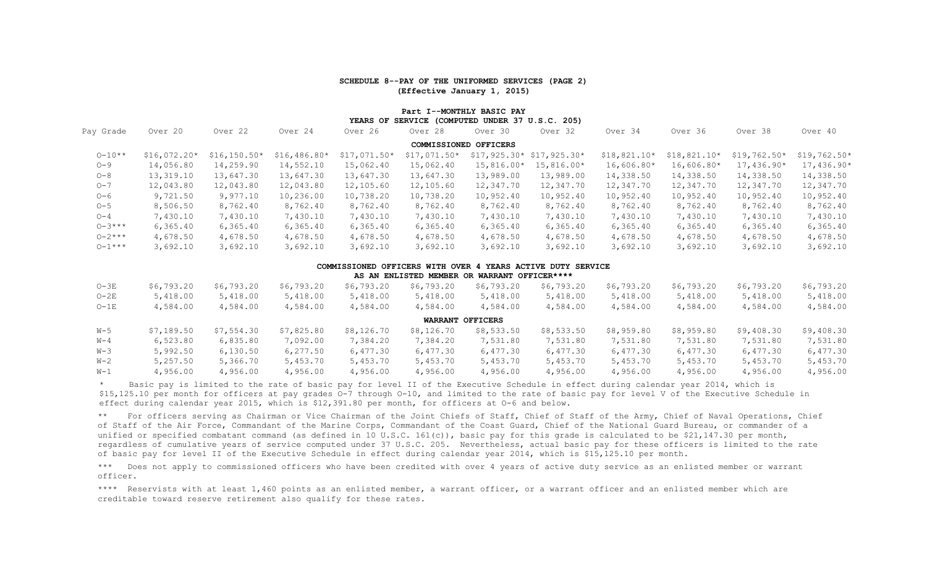### **SCHEDULE 8--PAY OF THE UNIFORMED SERVICES (PAGE 2) (Effective January 1, 2015)**

### **Part I--MONTHLY BASIC PAY YEARS OF SERVICE (COMPUTED UNDER 37 U.S.C. 205)**

| Pay Grade   | Over 20       | Over 22        | Over 24       | Over 26       | Over 28               | Over 30      | Over 32                     | Over 34       | Over 36       | Over 38       | Over 40       |
|-------------|---------------|----------------|---------------|---------------|-----------------------|--------------|-----------------------------|---------------|---------------|---------------|---------------|
|             |               |                |               |               | COMMISSIONED OFFICERS |              |                             |               |               |               |               |
| $0 - 10**$  | $$16,072.20*$ | $$16, 150.50*$ | $$16,486.80*$ | $$17,071.50*$ | $$17,071.50*$         |              | $$17, 925.30* $17, 925.30*$ | $$18,821.10*$ | $$18,821.10*$ | $$19,762.50*$ | $$19,762.50*$ |
| $O - 9$     | 14,056.80     | 14,259.90      | 14,552.10     | 15,062.40     | 15,062.40             | $15,816.00*$ | 15,816.00*                  | $16,606.80*$  | $16,606.80*$  | $17,436.90*$  | $17,436.90*$  |
| $O - 8$     | 13,319.10     | 13,647.30      | 13,647.30     | 13,647.30     | 13,647.30             | 13,989.00    | 13,989.00                   | 14,338.50     | 14,338.50     | 14,338.50     | 14,338.50     |
| $O - 7$     | 12,043.80     | 12,043.80      | 12,043.80     | 12,105.60     | 12,105.60             | 12,347.70    | 12,347.70                   | 12,347.70     | 12,347.70     | 12,347.70     | 12,347.70     |
| $O-6$       | 9,721.50      | 9,977.10       | 10,236.00     | 10,738.20     | 10,738.20             | 10,952.40    | 10,952.40                   | 10,952.40     | 10,952.40     | 10,952.40     | 10,952.40     |
| $O - 5$     | 8,506.50      | 8,762.40       | 8,762.40      | 8,762.40      | 8,762.40              | 8,762.40     | 8,762.40                    | 8,762.40      | 8,762.40      | 8,762.40      | 8,762.40      |
| $O - 4$     | 7,430.10      | 7,430.10       | 7,430.10      | 7,430.10      | 7,430.10              | 7,430.10     | 7,430.10                    | 7,430.10      | 7,430.10      | 7,430.10      | 7,430.10      |
| $0 - 3***$  | 6,365.40      | 6, 365.40      | 6,365.40      | 6, 365.40     | 6, 365.40             | 6, 365.40    | 6,365.40                    | 6, 365.40     | 6, 365.40     | 6, 365.40     | 6, 365.40     |
| $0 - 2$ *** | 4,678.50      | 4,678.50       | 4,678.50      | 4,678.50      | 4,678.50              | 4,678.50     | 4,678.50                    | 4,678.50      | 4,678.50      | 4,678.50      | 4,678.50      |
| $0 - 1***$  | 3,692.10      | 3,692.10       | 3,692.10      | 3,692.10      | 3,692.10              | 3,692.10     | 3,692.10                    | 3,692.10      | 3,692.10      | 3,692.10      | 3,692.10      |

#### **COMMISSIONED OFFICERS WITH OVER 4 YEARS ACTIVE DUTY SERVICE**

|         |            |            |            |            |            | AS AN ENLISTED MEMBER OR WARRANT OFFICER**** |            |            |            |            |            |
|---------|------------|------------|------------|------------|------------|----------------------------------------------|------------|------------|------------|------------|------------|
| $O-3E$  | \$6,793.20 | \$6,793.20 | \$6,793.20 | \$6,793.20 | \$6,793.20 | \$6,793.20                                   | \$6,793.20 | \$6,793.20 | \$6,793.20 | \$6,793.20 | \$6,793.20 |
| $O-2E$  | 5,418.00   | 5,418.00   | 5,418.00   | 5,418.00   | 5,418.00   | 5,418.00                                     | 5,418.00   | 5,418.00   | 5,418.00   | 5,418.00   | 5,418.00   |
| $O-1E$  | 4,584.00   | 4,584.00   | 4,584.00   | 4,584.00   | 4,584.00   | 4,584.00                                     | 4,584.00   | 4,584.00   | 4,584.00   | 4,584.00   | 4,584.00   |
|         |            |            |            |            |            | <b>WARRANT OFFICERS</b>                      |            |            |            |            |            |
| W-5     | \$7,189.50 | \$7,554.30 | \$7,825.80 | \$8,126.70 | \$8,126.70 | \$8,533.50                                   | \$8,533.50 | \$8,959.80 | \$8,959.80 | \$9,408.30 | \$9,408.30 |
| $W - 4$ | 6,523.80   | 6,835.80   | 7,092.00   | 7,384.20   | 7,384.20   | 7,531.80                                     | 7,531.80   | 7,531.80   | 7,531.80   | 7,531.80   | 7,531.80   |
| $W-3$   | 5,992.50   | 6,130.50   | 6,277.50   | 6,477.30   | 6,477.30   | 6,477.30                                     | 6,477.30   | 6,477.30   | 6,477.30   | 6,477.30   | 6,477.30   |
| $W-2$   | 5,257.50   | 5,366.70   | 5,453.70   | 5,453.70   | 5,453.70   | 5,453.70                                     | 5,453.70   | 5,453.70   | 5,453.70   | 5,453.70   | 5,453.70   |
| $W-1$   | 4,956.00   | 4,956.00   | 4,956.00   | 4,956.00   | 4,956.00   | 4,956.00                                     | 4,956.00   | 4,956.00   | 4,956.00   | 4,956.00   | 4,956.00   |

\* Basic pay is limited to the rate of basic pay for level II of the Executive Schedule in effect during calendar year 2014, which is \$15,125.10 per month for officers at pay grades O-7 through O-10, and limited to the rate of basic pay for level V of the Executive Schedule in effect during calendar year 2015, which is \$12,391.80 per month, for officers at O-6 and below.

\*\* For officers serving as Chairman or Vice Chairman of the Joint Chiefs of Staff, Chief of Staff of the Army, Chief of Naval Operations, Chief of Staff of the Air Force, Commandant of the Marine Corps, Commandant of the Coast Guard, Chief of the National Guard Bureau, or commander of a unified or specified combatant command (as defined in 10 U.S.C. 161(c)), basic pay for this grade is calculated to be \$21,147.30 per month, regardless of cumulative years of service computed under 37 U.S.C. 205. Nevertheless, actual basic pay for these officers is limited to the rate of basic pay for level II of the Executive Schedule in effect during calendar year 2014, which is \$15,125.10 per month.

\*\*\* Does not apply to commissioned officers who have been credited with over 4 years of active duty service as an enlisted member or warrant officer.

\*\*\*\* Reservists with at least 1,460 points as an enlisted member, a warrant officer, or a warrant officer and an enlisted member which are creditable toward reserve retirement also qualify for these rates.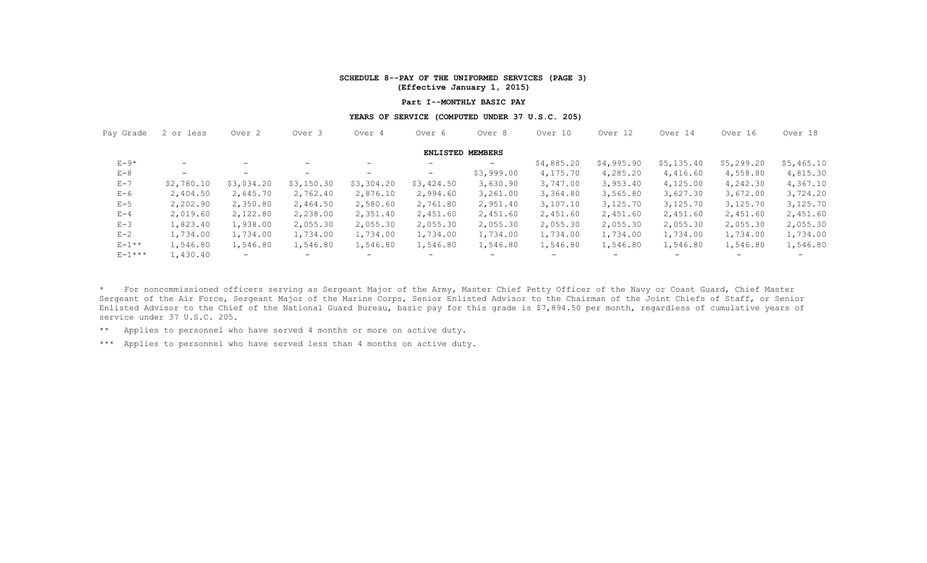### **SCHEDULE 8--PAY OF THE UNIFORMED SERVICES (PAGE 3) (Effective January 1, 2015)**

### **Part I--MONTHLY BASIC PAY**

### **YEARS OF SERVICE (COMPUTED UNDER 37 U.S.C. 205)**

| Pay Grade     | 2 or less  | Over <sub>2</sub> | Over <sub>3</sub>        | Over 4                   | Over 6                  | Over 8                   | Over 10           | Over 12    | Over 14    | Over 16                  | Over 18    |  |
|---------------|------------|-------------------|--------------------------|--------------------------|-------------------------|--------------------------|-------------------|------------|------------|--------------------------|------------|--|
|               |            |                   |                          |                          | <b>ENLISTED MEMBERS</b> |                          |                   |            |            |                          |            |  |
| $E-9*$        | $-$        |                   | $\overline{\phantom{0}}$ | $-$                      | $-$                     | $\qquad \qquad -$        | \$4,885.20        | \$4,995.90 | \$5,135.40 | \$5,299.20               | \$5,465.10 |  |
| $E - 8$       | $-$        | $\qquad \qquad -$ | -                        | $\overline{\phantom{0}}$ | $-$                     | \$3,999.00               | 4,175.70          | 4,285.20   | 4,416.60   | 4,558.80                 | 4,815.30   |  |
| $E - 7$       | \$2,780.10 | \$3,034.20        | \$3,150.30               | \$3,304.20               | \$3,424.50              | 3,630.90                 | 3,747.00          | 3,953.40   | 4,125.00   | 4,242.30                 | 4,367.10   |  |
| $E-6$         | 2,404.50   | 2,645.70          | 2,762.40                 | 2,876.10                 | 2,994.60                | 3,261.00                 | 3,364.80          | 3,565.80   | 3,627.30   | 3,672.00                 | 3,724.20   |  |
| $E - 5$       | 2,202.90   | 2,350.80          | 2,464.50                 | 2,580.60                 | 2,761.80                | 2,951.40                 | 3,107.10          | 3,125.70   | 3,125.70   | 3,125.70                 | 3,125.70   |  |
| $E - 4$       | 2,019.60   | 2,122.80          | 2,238.00                 | 2,351.40                 | 2,451.60                | 2,451.60                 | 2,451.60          | 2,451.60   | 2,451.60   | 2,451.60                 | 2,451.60   |  |
| $E-3$         | 1,823.40   | 1,938.00          | 2,055.30                 | 2,055.30                 | 2,055.30                | 2,055.30                 | 2,055.30          | 2,055.30   | 2,055.30   | 2,055.30                 | 2,055.30   |  |
| $E - 2$       | 1,734.00   | 1,734.00          | 1,734.00                 | 1,734.00                 | 1,734.00                | 1,734.00                 | 1,734.00          | 1,734.00   | 1,734.00   | 1,734.00                 | 1,734.00   |  |
| $E-1**$       | 1,546.80   | 1,546.80          | 1,546.80                 | 1,546.80                 | 1,546.80                | 1,546.80                 | 1,546.80          | 1,546.80   | 1,546.80   | 1,546.80                 | 1,546.80   |  |
| $E - 1$ * * * | 1,430.40   | $-$               | $\overline{\phantom{0}}$ | $-$                      | $-$                     | $\overline{\phantom{0}}$ | $\qquad \qquad -$ | $-$        | $-$        | $\overline{\phantom{0}}$ | -          |  |

\* For noncommissioned officers serving as Sergeant Major of the Army, Master Chief Petty Officer of the Navy or Coast Guard, Chief Master Sergeant of the Air Force, Sergeant Major of the Marine Corps, Senior Enlisted Advisor to the Chairman of the Joint Chiefs of Staff, or Senior Enlisted Advisor to the Chief of the National Guard Bureau, basic pay for this grade is \$7,894.50 per month, regardless of cumulative years of service under 37 U.S.C. 205.

\*\* Applies to personnel who have served 4 months or more on active duty.

\*\*\* Applies to personnel who have served less than 4 months on active duty.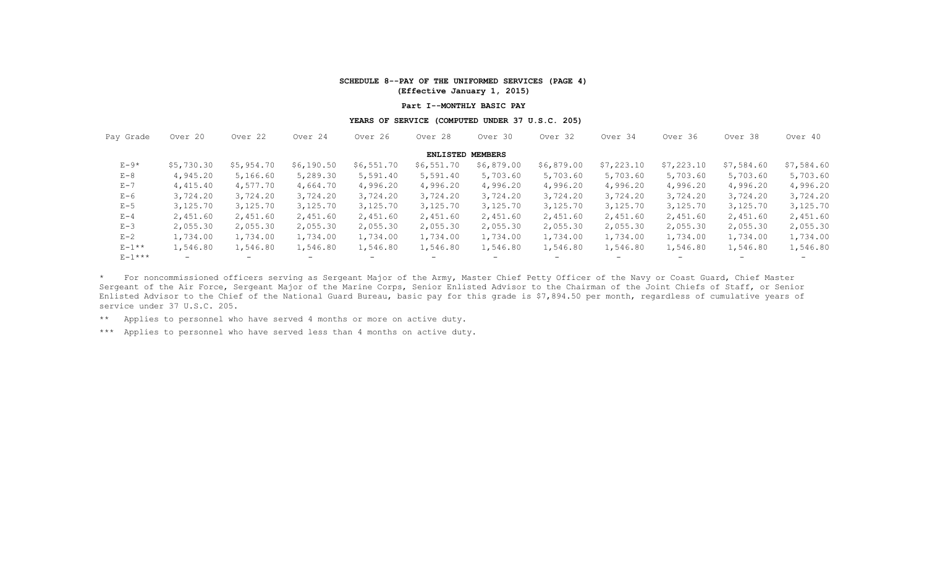### **SCHEDULE 8--PAY OF THE UNIFORMED SERVICES (PAGE 4) (Effective January 1, 2015)**

#### **Part I--MONTHLY BASIC PAY**

### **YEARS OF SERVICE (COMPUTED UNDER 37 U.S.C. 205)**

| Pay Grade | Over 20    | Over 22    | Over 24                  | Over 26                  | Over 28                  | Over 30                  | Over 32                  | Over 34    | Over 36                  | Over 38                  | Over 40    |
|-----------|------------|------------|--------------------------|--------------------------|--------------------------|--------------------------|--------------------------|------------|--------------------------|--------------------------|------------|
|           |            |            |                          |                          | <b>ENLISTED MEMBERS</b>  |                          |                          |            |                          |                          |            |
| $E-9*$    | \$5,730.30 | \$5,954.70 | \$6,190.50               | \$6,551.70               | \$6,551.70               | \$6,879.00               | \$6,879.00               | \$7,223.10 | \$7,223.10               | \$7,584.60               | \$7,584.60 |
| $E - 8$   | 4,945.20   | 5,166.60   | 5,289.30                 | 5,591.40                 | 5,591.40                 | 5,703.60                 | 5,703.60                 | 5,703.60   | 5,703.60                 | 5,703.60                 | 5,703.60   |
| $E - 7$   | 4,415.40   | 4,577.70   | 4,664.70                 | 4,996.20                 | 4,996.20                 | 4,996.20                 | 4,996.20                 | 4,996.20   | 4,996.20                 | 4,996.20                 | 4,996.20   |
| $E-6$     | 3,724.20   | 3,724.20   | 3,724.20                 | 3,724.20                 | 3,724.20                 | 3,724.20                 | 3,724.20                 | 3,724.20   | 3,724.20                 | 3,724.20                 | 3,724.20   |
| $E - 5$   | 3,125.70   | 3,125.70   | 3,125.70                 | 3,125.70                 | 3,125.70                 | 3,125.70                 | 3,125.70                 | 3,125.70   | 3,125.70                 | 3,125.70                 | 3,125.70   |
| $E - 4$   | 2,451.60   | 2,451.60   | 2,451.60                 | 2,451.60                 | 2,451.60                 | 2,451.60                 | 2,451.60                 | 2,451.60   | 2,451.60                 | 2,451.60                 | 2,451.60   |
| $E-3$     | 2,055.30   | 2,055.30   | 2,055.30                 | 2,055.30                 | 2,055.30                 | 2,055.30                 | 2,055.30                 | 2,055.30   | 2,055.30                 | 2,055.30                 | 2,055.30   |
| $E - 2$   | 1,734.00   | 1,734.00   | 1,734.00                 | 1,734.00                 | 1,734.00                 | 1,734.00                 | 1,734.00                 | 1,734.00   | 1,734.00                 | 1,734.00                 | 1,734.00   |
| $E-1**$   | 1,546.80   | 1,546.80   | 1,546.80                 | 1,546.80                 | 1,546.80                 | 1,546.80                 | 1,546.80                 | 1,546.80   | 1,546.80                 | 1,546.80                 | 1,546.80   |
| $E-1***$  | $-$        | $-$        | $\overline{\phantom{0}}$ | $\overline{\phantom{0}}$ | $\overline{\phantom{0}}$ | $\overline{\phantom{0}}$ | $\overline{\phantom{a}}$ | $-$        | $\overline{\phantom{0}}$ | $\overline{\phantom{0}}$ |            |

\* For noncommissioned officers serving as Sergeant Major of the Army, Master Chief Petty Officer of the Navy or Coast Guard, Chief Master Sergeant of the Air Force, Sergeant Major of the Marine Corps, Senior Enlisted Advisor to the Chairman of the Joint Chiefs of Staff, or Senior Enlisted Advisor to the Chief of the National Guard Bureau, basic pay for this grade is \$7,894.50 per month, regardless of cumulative years of service under 37 U.S.C. 205.

\*\* Applies to personnel who have served 4 months or more on active duty.

\*\*\* Applies to personnel who have served less than 4 months on active duty.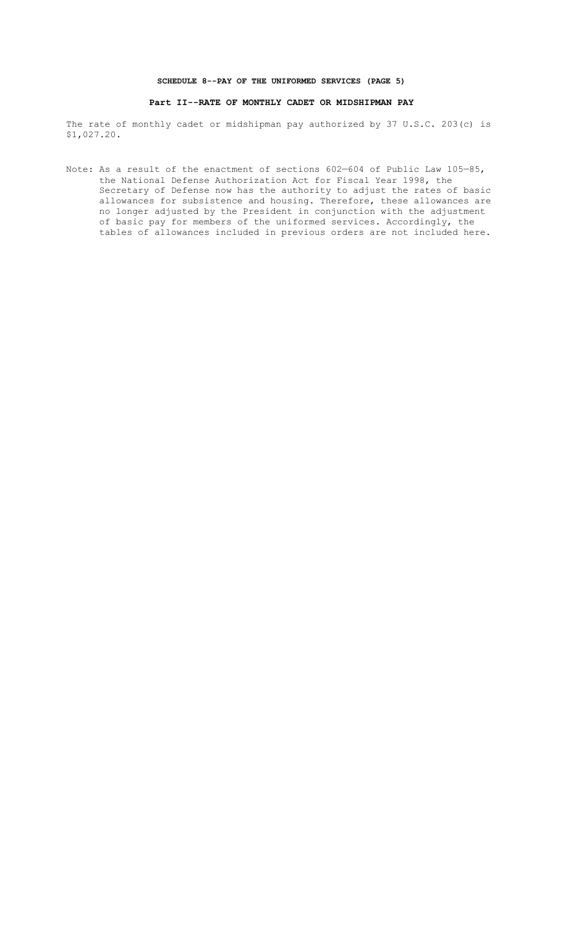### **SCHEDULE 8--PAY OF THE UNIFORMED SERVICES (PAGE 5)**

## **Part II--RATE OF MONTHLY CADET OR MIDSHIPMAN PAY**

The rate of monthly cadet or midshipman pay authorized by 37 U.S.C. 203(c) is \$1,027.20.

Note: As a result of the enactment of sections 602–604 of Public Law 105–85, the National Defense Authorization Act for Fiscal Year 1998, the Secretary of Defense now has the authority to adjust the rates of basic allowances for subsistence and housing. Therefore, these allowances are no longer adjusted by the President in conjunction with the adjustment of basic pay for members of the uniformed services. Accordingly, the tables of allowances included in previous orders are not included here.